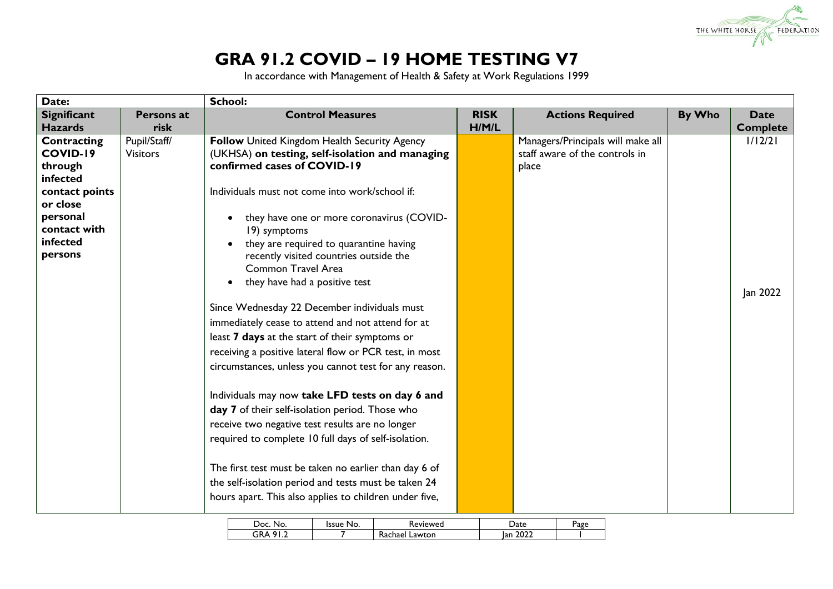

## **GRA 91.2 COVID – 19 HOME TESTING V7**

In accordance with Management of Health & Safety at Work Regulations 1999

| By Who                         | <b>Date</b>                       |
|--------------------------------|-----------------------------------|
|                                | <b>Complete</b>                   |
|                                | 1/12/21                           |
|                                |                                   |
|                                |                                   |
|                                |                                   |
|                                |                                   |
|                                |                                   |
|                                |                                   |
|                                |                                   |
|                                |                                   |
|                                |                                   |
|                                |                                   |
|                                | Jan 2022                          |
|                                |                                   |
|                                |                                   |
|                                |                                   |
|                                |                                   |
|                                |                                   |
|                                |                                   |
|                                |                                   |
|                                |                                   |
|                                |                                   |
|                                |                                   |
|                                |                                   |
|                                |                                   |
|                                |                                   |
|                                |                                   |
|                                |                                   |
|                                |                                   |
| staff aware of the controls in | Managers/Principals will make all |

| Doc<br>No.     | No.<br>'ssue | leviewed          | Jate        | Page |
|----------------|--------------|-------------------|-------------|------|
| GRA<br>$\circ$ |              | Lawton<br>Kachael | 2022<br>lan |      |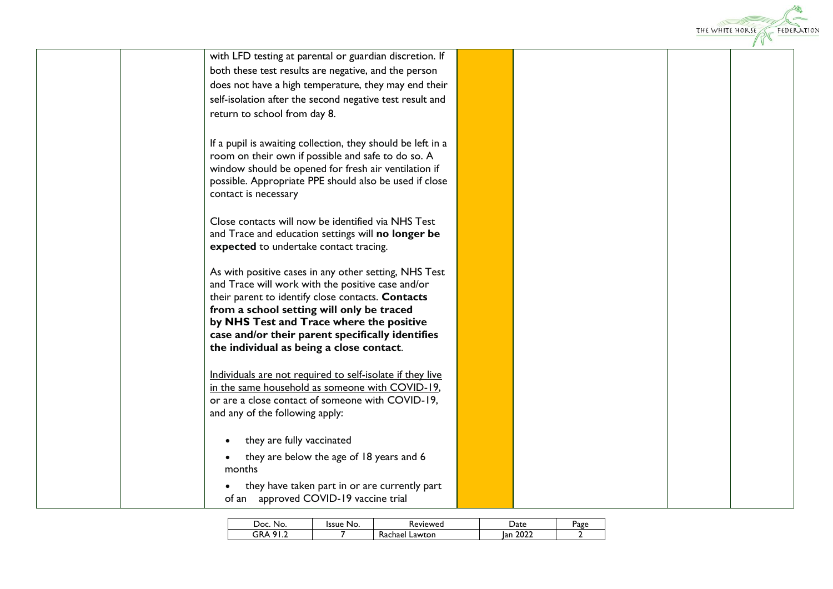

| with LFD testing at parental or guardian discretion. If                                        |  |  |  |
|------------------------------------------------------------------------------------------------|--|--|--|
| both these test results are negative, and the person                                           |  |  |  |
| does not have a high temperature, they may end their                                           |  |  |  |
| self-isolation after the second negative test result and                                       |  |  |  |
| return to school from day 8.                                                                   |  |  |  |
|                                                                                                |  |  |  |
| If a pupil is awaiting collection, they should be left in a                                    |  |  |  |
| room on their own if possible and safe to do so. A                                             |  |  |  |
| window should be opened for fresh air ventilation if                                           |  |  |  |
| possible. Appropriate PPE should also be used if close                                         |  |  |  |
| contact is necessary                                                                           |  |  |  |
| Close contacts will now be identified via NHS Test                                             |  |  |  |
| and Trace and education settings will no longer be                                             |  |  |  |
| expected to undertake contact tracing.                                                         |  |  |  |
|                                                                                                |  |  |  |
| As with positive cases in any other setting, NHS Test                                          |  |  |  |
| and Trace will work with the positive case and/or                                              |  |  |  |
| their parent to identify close contacts. Contacts<br>from a school setting will only be traced |  |  |  |
| by NHS Test and Trace where the positive                                                       |  |  |  |
| case and/or their parent specifically identifies                                               |  |  |  |
| the individual as being a close contact.                                                       |  |  |  |
|                                                                                                |  |  |  |
| Individuals are not required to self-isolate if they live                                      |  |  |  |
| in the same household as someone with COVID-19,                                                |  |  |  |
| or are a close contact of someone with COVID-19,<br>and any of the following apply:            |  |  |  |
|                                                                                                |  |  |  |
| they are fully vaccinated                                                                      |  |  |  |
| they are below the age of 18 years and 6                                                       |  |  |  |
| months                                                                                         |  |  |  |
| they have taken part in or are currently part                                                  |  |  |  |
| of an approved COVID-19 vaccine trial                                                          |  |  |  |
|                                                                                                |  |  |  |

| Doc.<br>No.                                       | No.<br>ssue | Keviewed               | ate         | Page |
|---------------------------------------------------|-------------|------------------------|-------------|------|
| GR∕<br>. .<br>$\Omega$<br>$\mathbf{v}$<br>$\cdot$ |             | -<br>Lawton<br>Rachael | 2022<br>Ian |      |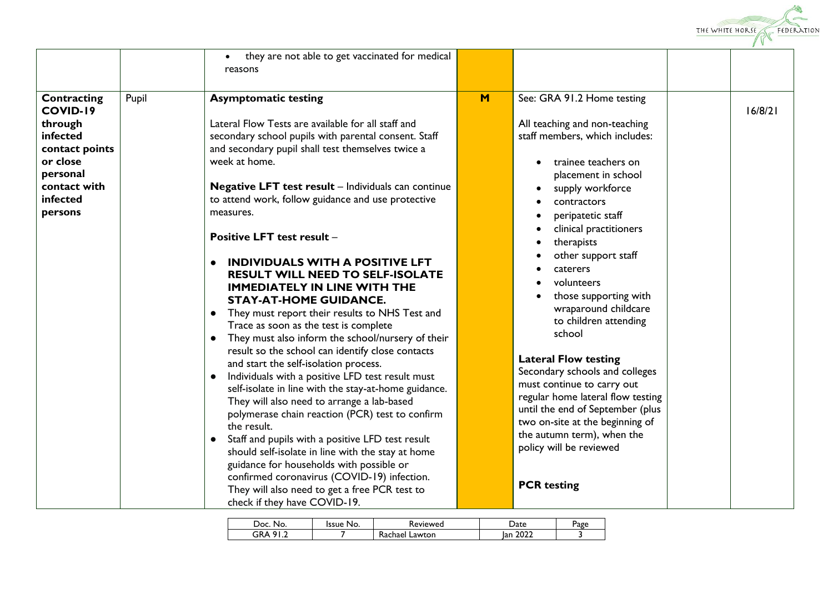

|                                                                                                                                        |       | they are not able to get vaccinated for medical<br>$\bullet$<br>reasons                                                                                                                                                                                                                                                                                                                                                                                                                                                                                                                                                                                                                                                                                                                                                                                                                                                                                                                                                                                                                                                                                                                                                                                                                                              |     |                                                                                                                                                                                                                                                                                                                                                                                                                                                                                                                                                                                                                                                                            |         |
|----------------------------------------------------------------------------------------------------------------------------------------|-------|----------------------------------------------------------------------------------------------------------------------------------------------------------------------------------------------------------------------------------------------------------------------------------------------------------------------------------------------------------------------------------------------------------------------------------------------------------------------------------------------------------------------------------------------------------------------------------------------------------------------------------------------------------------------------------------------------------------------------------------------------------------------------------------------------------------------------------------------------------------------------------------------------------------------------------------------------------------------------------------------------------------------------------------------------------------------------------------------------------------------------------------------------------------------------------------------------------------------------------------------------------------------------------------------------------------------|-----|----------------------------------------------------------------------------------------------------------------------------------------------------------------------------------------------------------------------------------------------------------------------------------------------------------------------------------------------------------------------------------------------------------------------------------------------------------------------------------------------------------------------------------------------------------------------------------------------------------------------------------------------------------------------------|---------|
| Contracting<br><b>COVID-19</b><br>through<br>infected<br>contact points<br>or close<br>personal<br>contact with<br>infected<br>persons | Pupil | <b>Asymptomatic testing</b><br>Lateral Flow Tests are available for all staff and<br>secondary school pupils with parental consent. Staff<br>and secondary pupil shall test themselves twice a<br>week at home.<br><b>Negative LFT test result</b> - Individuals can continue<br>to attend work, follow guidance and use protective<br>measures.<br><b>Positive LFT test result -</b><br><b>INDIVIDUALS WITH A POSITIVE LFT</b><br><b>RESULT WILL NEED TO SELF-ISOLATE</b><br><b>IMMEDIATELY IN LINE WITH THE</b><br><b>STAY-AT-HOME GUIDANCE.</b><br>• They must report their results to NHS Test and<br>Trace as soon as the test is complete<br>• They must also inform the school/nursery of their<br>result so the school can identify close contacts<br>and start the self-isolation process.<br>Individuals with a positive LFD test result must<br>self-isolate in line with the stay-at-home guidance.<br>They will also need to arrange a lab-based<br>polymerase chain reaction (PCR) test to confirm<br>the result.<br>Staff and pupils with a positive LFD test result<br>should self-isolate in line with the stay at home<br>guidance for households with possible or<br>confirmed coronavirus (COVID-19) infection.<br>They will also need to get a free PCR test to<br>check if they have COVID-19. | $M$ | See: GRA 91.2 Home testing<br>All teaching and non-teaching<br>staff members, which includes:<br>trainee teachers on<br>placement in school<br>supply workforce<br>contractors<br>peripatetic staff<br>clinical practitioners<br>therapists<br>other support staff<br>caterers<br>volunteers<br>those supporting with<br>wraparound childcare<br>to children attending<br>school<br><b>Lateral Flow testing</b><br>Secondary schools and colleges<br>must continue to carry out<br>regular home lateral flow testing<br>until the end of September (plus<br>two on-site at the beginning of<br>the autumn term), when the<br>policy will be reviewed<br><b>PCR</b> testing | 16/8/21 |

| No.<br>ה (        | Issue<br>No. | eviewed)               |             | Page |
|-------------------|--------------|------------------------|-------------|------|
| .GP<br>ດ<br><br>- |              | -<br>.awton<br>Kachael | 2022<br>lan |      |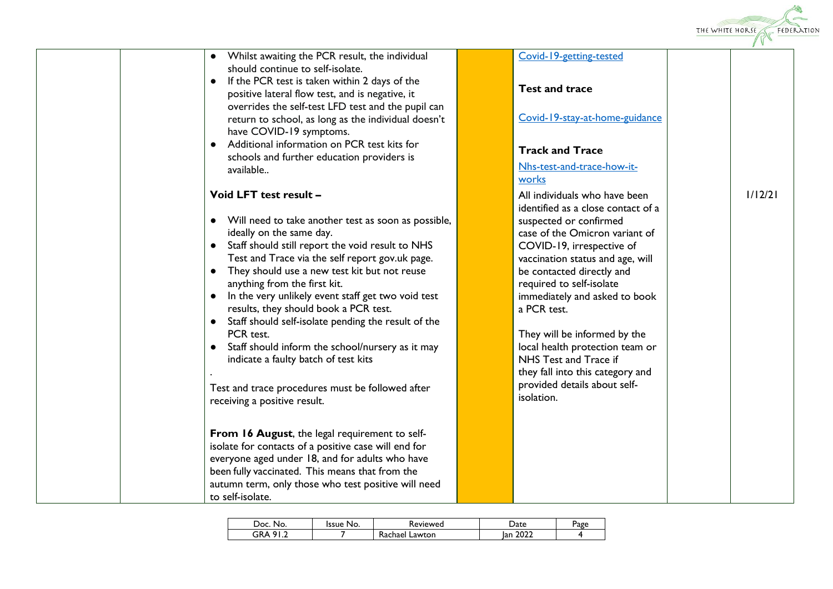

| • Whilst awaiting the PCR result, the individual<br>should continue to self-isolate.                                                 | Covid-19-getting-tested                                             |         |
|--------------------------------------------------------------------------------------------------------------------------------------|---------------------------------------------------------------------|---------|
| • If the PCR test is taken within 2 days of the<br>positive lateral flow test, and is negative, it                                   | <b>Test and trace</b>                                               |         |
| overrides the self-test LFD test and the pupil can<br>return to school, as long as the individual doesn't<br>have COVID-19 symptoms. | Covid-19-stay-at-home-guidance                                      |         |
| • Additional information on PCR test kits for<br>schools and further education providers is                                          | <b>Track and Trace</b>                                              |         |
| available                                                                                                                            | Nhs-test-and-trace-how-it-<br>works                                 |         |
| Void LFT test result -                                                                                                               | All individuals who have been<br>identified as a close contact of a | 1/12/21 |
| • Will need to take another test as soon as possible,<br>ideally on the same day.                                                    | suspected or confirmed<br>case of the Omicron variant of            |         |
| • Staff should still report the void result to NHS                                                                                   | COVID-19, irrespective of                                           |         |
| Test and Trace via the self report gov.uk page.<br>• They should use a new test kit but not reuse                                    | vaccination status and age, will<br>be contacted directly and       |         |
| anything from the first kit.<br>• In the very unlikely event staff get two void test                                                 | required to self-isolate<br>immediately and asked to book           |         |
| results, they should book a PCR test.                                                                                                | a PCR test.                                                         |         |
| • Staff should self-isolate pending the result of the<br>PCR test.                                                                   | They will be informed by the                                        |         |
| • Staff should inform the school/nursery as it may                                                                                   | local health protection team or                                     |         |
| indicate a faulty batch of test kits                                                                                                 | NHS Test and Trace if<br>they fall into this category and           |         |
| Test and trace procedures must be followed after<br>receiving a positive result.                                                     | provided details about self-<br>isolation.                          |         |
| From 16 August, the legal requirement to self-                                                                                       |                                                                     |         |
| isolate for contacts of a positive case will end for                                                                                 |                                                                     |         |
| everyone aged under 18, and for adults who have<br>been fully vaccinated. This means that from the                                   |                                                                     |         |
| autumn term, only those who test positive will need<br>to self-isolate.                                                              |                                                                     |         |

| Doc<br>No. | ssue<br>No. | Reviewed          | )ate                 | Page |
|------------|-------------|-------------------|----------------------|------|
| 3RA        |             | Lawton<br>Kachael | ົດລາ<br>lan.<br>LULL |      |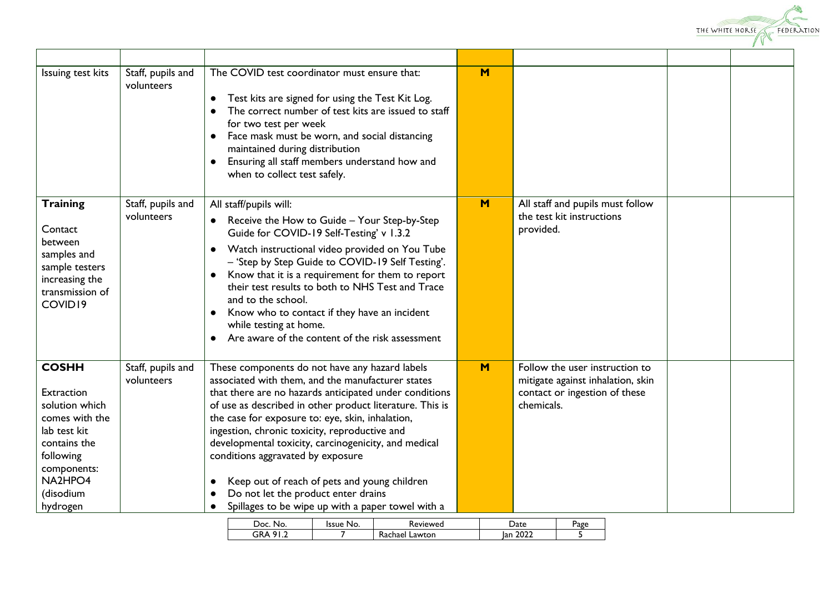

| Issuing test kits                                                                                                                                              | Staff, pupils and<br>volunteers | The COVID test coordinator must ensure that:<br>Test kits are signed for using the Test Kit Log.<br>$\bullet$<br>The correct number of test kits are issued to staff<br>for two test per week<br>Face mask must be worn, and social distancing<br>$\bullet$<br>maintained during distribution<br>Ensuring all staff members understand how and<br>$\bullet$<br>when to collect test safely.                                                                                                                                                                             | M   |                                                                                                                    |  |
|----------------------------------------------------------------------------------------------------------------------------------------------------------------|---------------------------------|-------------------------------------------------------------------------------------------------------------------------------------------------------------------------------------------------------------------------------------------------------------------------------------------------------------------------------------------------------------------------------------------------------------------------------------------------------------------------------------------------------------------------------------------------------------------------|-----|--------------------------------------------------------------------------------------------------------------------|--|
| <b>Training</b><br>Contact<br>between<br>samples and<br>sample testers<br>increasing the<br>transmission of<br>COVID19                                         | Staff, pupils and<br>volunteers | All staff/pupils will:<br>Receive the How to Guide - Your Step-by-Step<br>Guide for COVID-19 Self-Testing' v 1.3.2<br>Watch instructional video provided on You Tube<br>$\bullet$<br>- 'Step by Step Guide to COVID-19 Self Testing'.<br>Know that it is a requirement for them to report<br>$\bullet$<br>their test results to both to NHS Test and Trace<br>and to the school.<br>Know who to contact if they have an incident<br>$\bullet$<br>while testing at home.<br>Are aware of the content of the risk assessment<br>$\bullet$                                 | $M$ | All staff and pupils must follow<br>the test kit instructions<br>provided.                                         |  |
| <b>COSHH</b><br>Extraction<br>solution which<br>comes with the<br>lab test kit<br>contains the<br>following<br>components:<br>NA2HPO4<br>(disodium<br>hydrogen | Staff, pupils and<br>volunteers | These components do not have any hazard labels<br>associated with them, and the manufacturer states<br>that there are no hazards anticipated under conditions<br>of use as described in other product literature. This is<br>the case for exposure to: eye, skin, inhalation,<br>ingestion, chronic toxicity, reproductive and<br>developmental toxicity, carcinogenicity, and medical<br>conditions aggravated by exposure<br>Keep out of reach of pets and young children<br>Do not let the product enter drains<br>Spillages to be wipe up with a paper towel with a | M   | Follow the user instruction to<br>mitigate against inhalation, skin<br>contact or ingestion of these<br>chemicals. |  |

| No.<br>המ           | Issue<br>No. | leviewed          | Jate        | Page |
|---------------------|--------------|-------------------|-------------|------|
| GR.<br>$\mathbf{v}$ |              | Lawton<br>Kachael | 2022<br>Ian |      |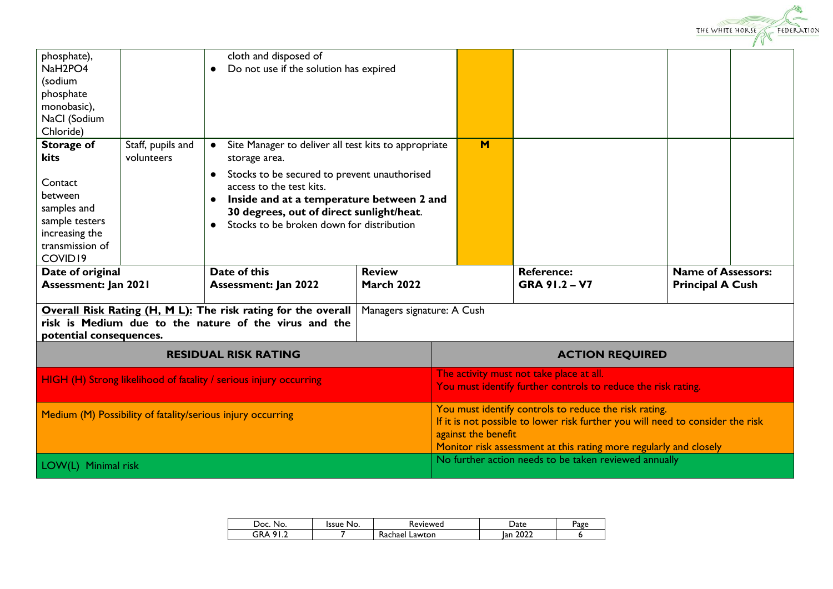

| phosphate),<br>NaH <sub>2</sub> PO <sub>4</sub><br>(sodium<br>phosphate<br>monobasic),<br>NaCl (Sodium<br>Chloride)              |                                                                                                | cloth and disposed of<br>Do not use if the solution has expired                                                                                                                                                                                                                                                   |                                    |                     |                                                                                                                                                                                                              |                                                      |  |
|----------------------------------------------------------------------------------------------------------------------------------|------------------------------------------------------------------------------------------------|-------------------------------------------------------------------------------------------------------------------------------------------------------------------------------------------------------------------------------------------------------------------------------------------------------------------|------------------------------------|---------------------|--------------------------------------------------------------------------------------------------------------------------------------------------------------------------------------------------------------|------------------------------------------------------|--|
| <b>Storage of</b><br>kits<br>Contact<br>between<br>samples and<br>sample testers<br>increasing the<br>transmission of<br>COVID19 | Staff, pupils and<br>volunteers                                                                | Site Manager to deliver all test kits to appropriate<br>storage area.<br>Stocks to be secured to prevent unauthorised<br>$\bullet$<br>access to the test kits.<br>Inside and at a temperature between 2 and<br>$\bullet$<br>30 degrees, out of direct sunlight/heat.<br>Stocks to be broken down for distribution |                                    | M                   |                                                                                                                                                                                                              |                                                      |  |
|                                                                                                                                  | Date of this<br>Date of original<br><b>Assessment: Jan 2021</b><br><b>Assessment: Jan 2022</b> |                                                                                                                                                                                                                                                                                                                   | <b>Review</b><br><b>March 2022</b> |                     | <b>Reference:</b><br>GRA 91.2 - V7                                                                                                                                                                           | <b>Name of Assessors:</b><br><b>Principal A Cush</b> |  |
| potential consequences.                                                                                                          |                                                                                                | Overall Risk Rating (H, M L): The risk rating for the overall<br>risk is Medium due to the nature of the virus and the                                                                                                                                                                                            | Managers signature: A Cush         |                     |                                                                                                                                                                                                              |                                                      |  |
| <b>RESIDUAL RISK RATING</b>                                                                                                      |                                                                                                |                                                                                                                                                                                                                                                                                                                   |                                    |                     | <b>ACTION REQUIRED</b>                                                                                                                                                                                       |                                                      |  |
|                                                                                                                                  |                                                                                                |                                                                                                                                                                                                                                                                                                                   |                                    |                     |                                                                                                                                                                                                              |                                                      |  |
|                                                                                                                                  |                                                                                                | HIGH (H) Strong likelihood of fatality / serious injury occurring                                                                                                                                                                                                                                                 |                                    |                     | The activity must not take place at all.<br>You must identify further controls to reduce the risk rating.                                                                                                    |                                                      |  |
|                                                                                                                                  |                                                                                                | Medium (M) Possibility of fatality/serious injury occurring                                                                                                                                                                                                                                                       |                                    | against the benefit | You must identify controls to reduce the risk rating.<br>If it is not possible to lower risk further you will need to consider the risk<br>Monitor risk assessment at this rating more regularly and closely |                                                      |  |

| Doc.<br>No. | No.<br>Issue | Reviewed          | Date        | Page |
|-------------|--------------|-------------------|-------------|------|
| GRA<br>01   |              | Rachael<br>Lawton | 2022<br>Ian |      |